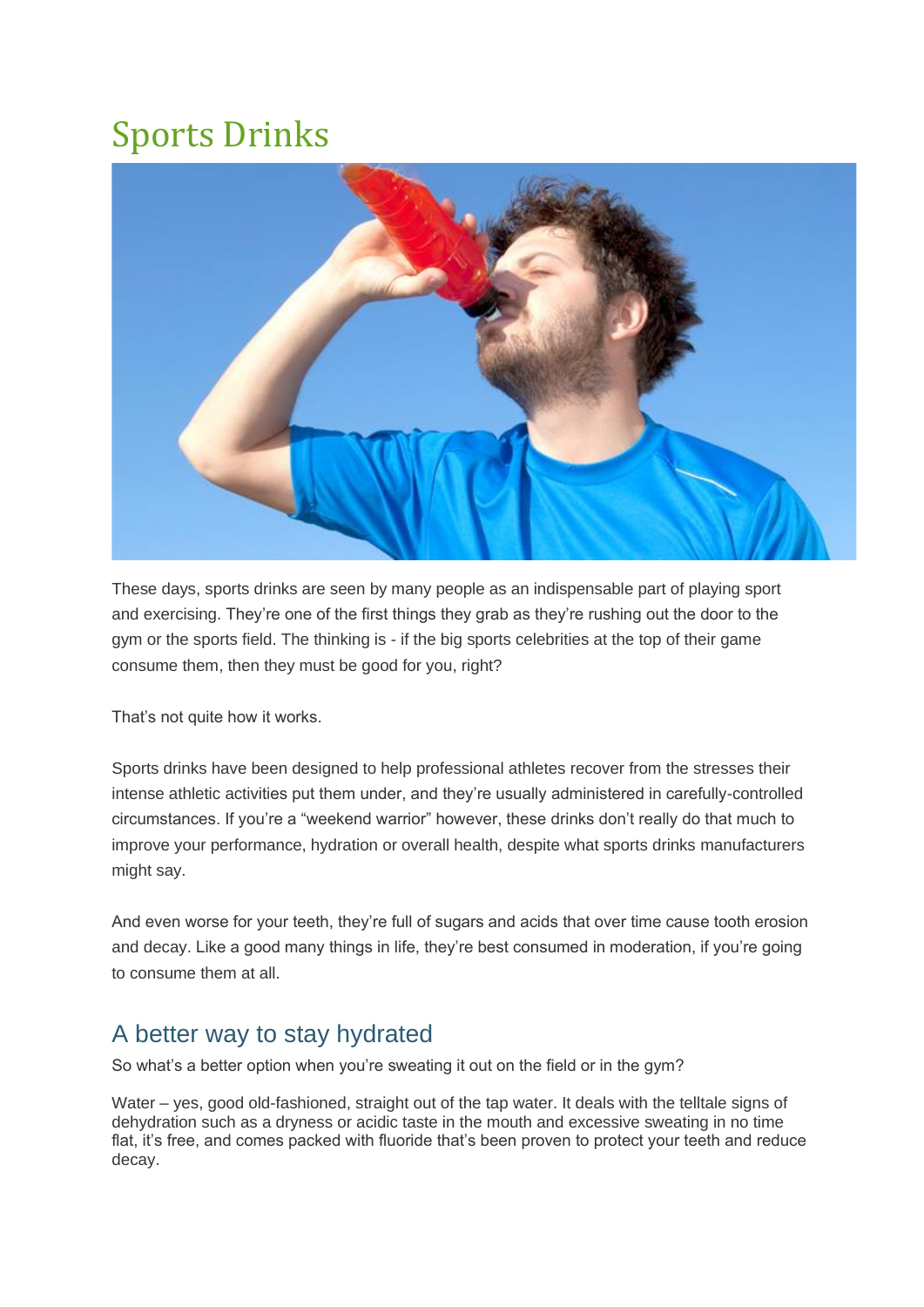## Sports Drinks



These days, sports drinks are seen by many people as an indispensable part of playing sport and exercising. They're one of the first things they grab as they're rushing out the door to the gym or the sports field. The thinking is - if the big sports celebrities at the top of their game consume them, then they must be good for you, right?

That's not quite how it works.

Sports drinks have been designed to help professional athletes recover from the stresses their intense athletic activities put them under, and they're usually administered in carefully-controlled circumstances. If you're a "weekend warrior" however, these drinks don't really do that much to improve your performance, hydration or overall health, despite what sports drinks manufacturers might say.

And even worse for your teeth, they're full of sugars and acids that over time cause tooth erosion and decay. Like a good many things in life, they're best consumed in moderation, if you're going to consume them at all.

## A better way to stay hydrated

So what's a better option when you're sweating it out on the field or in the gym?

Water – yes, good old-fashioned, straight out of the tap water. It deals with the telltale signs of dehydration such as a dryness or acidic taste in the mouth and excessive sweating in no time flat, it's free, and comes packed with fluoride that's been proven to protect your teeth and reduce decay.